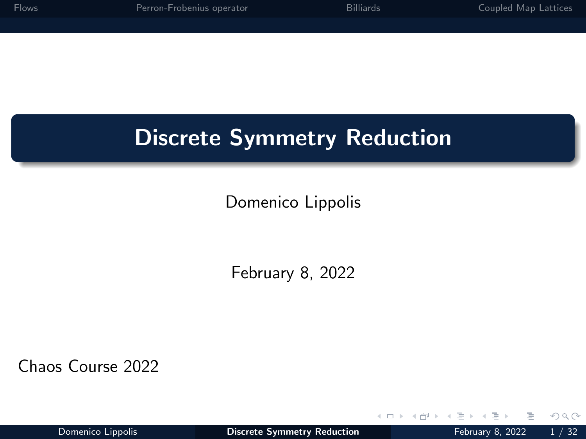<span id="page-0-0"></span>

| Flows | Perron-Frobenius operator | <b>Billiards</b> | Coupled Map Lattices |
|-------|---------------------------|------------------|----------------------|
|       |                           |                  |                      |
|       |                           |                  |                      |
|       |                           |                  |                      |
|       |                           |                  |                      |

# Discrete Symmetry Reduction

#### Domenico Lippolis

February 8, 2022

Chaos Course 2022

 $\leftarrow$ 

 $QQ$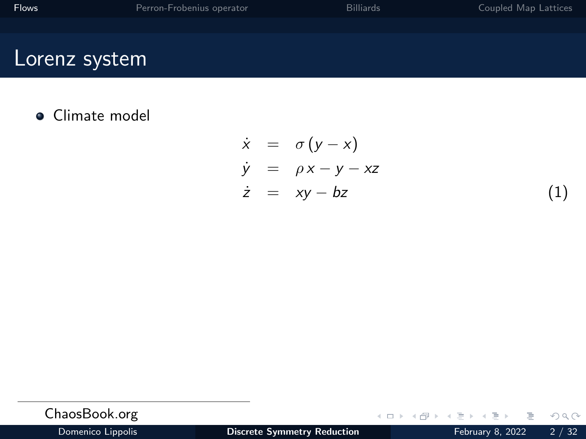### <span id="page-1-0"></span>Lorenz system

**•** Climate model

$$
\dot{x} = \sigma(y - x) \n\dot{y} = \rho x - y - xz \n\dot{z} = xy - bz
$$
\n(1)

| ChaosBook.org     |                                    | - イロン イ母 ン イヨン イヨン ニヨー つなの |  |
|-------------------|------------------------------------|----------------------------|--|
| Domenico Lippolis | <b>Discrete Symmetry Reduction</b> | February 8, 2022 $2 / 32$  |  |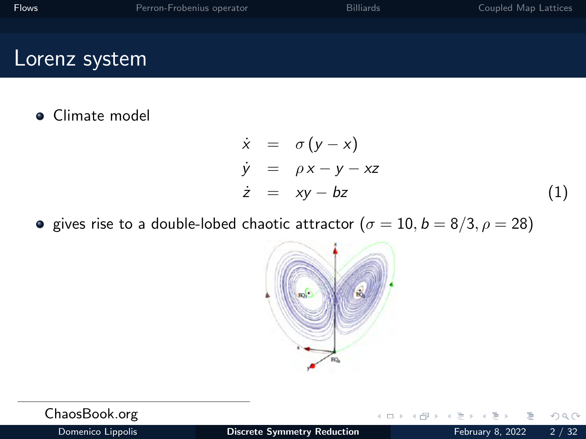| Flows | Perron-Frobenius operator | <b>Billiards</b> | Coupled Map Lattices |
|-------|---------------------------|------------------|----------------------|
|       |                           |                  |                      |

#### Lorenz system

#### **•** Climate model

$$
\dot{x} = \sigma(y - x) \n\dot{y} = \rho x - y - xz \n\dot{z} = xy - bz
$$
\n(1)

**a** gives rise to a double-lobed chaotic attractor  $(\sigma = 10, b = 8/3, \rho = 28)$ 



| ChaosBook.org     |                                    |  |  |  | - 4ロ ▶ 4母 ▶ 4日 ▶ 4日 ▶ │ 目│ ◆ 9.0 /2 │ |
|-------------------|------------------------------------|--|--|--|---------------------------------------|
| Domenico Lippolis | <b>Discrete Symmetry Reduction</b> |  |  |  | February 8, 2022 2 / 32               |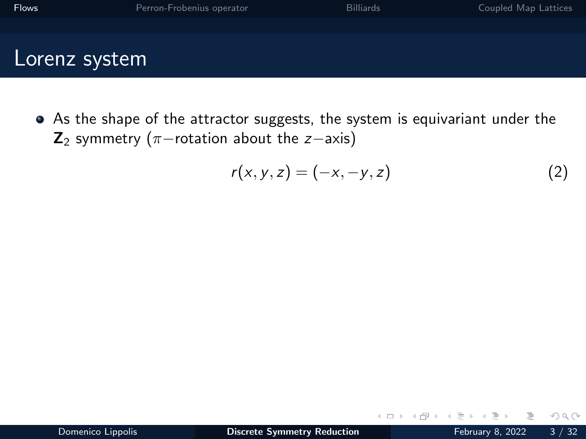As the shape of the attractor suggests, the system is equivariant under the  $\mathbf{Z}_2$  symmetry ( $\pi$ −rotation about the z−axis)

$$
r(x, y, z) = (-x, -y, z) \tag{2}
$$

 $\leftarrow$ 

 $QQQ$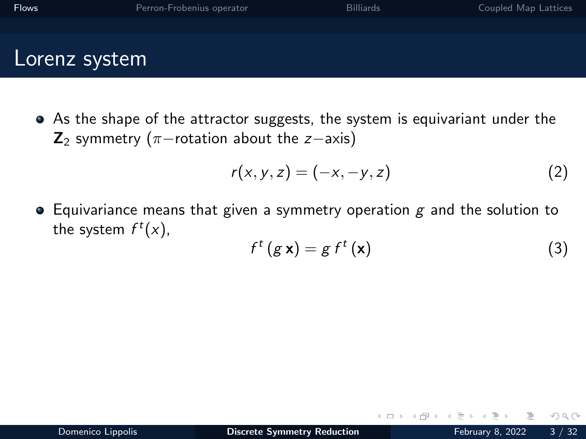- - As the shape of the attractor suggests, the system is equivariant under the  $\mathbf{Z}_2$  symmetry ( $\pi$ −rotation about the z−axis)

$$
r(x,y,z) = (-x,-y,z)
$$
 (2)

 $\bullet$  Equivariance means that given a symmetry operation g and the solution to the system  $f^t(x)$ ,

$$
f^t(g\mathbf{x}) = g f^t(\mathbf{x})
$$
 (3)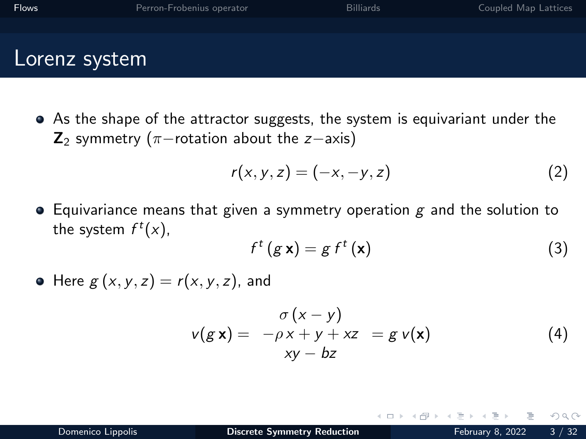As the shape of the attractor suggests, the system is equivariant under the  $\mathbf{Z}_2$  symmetry ( $\pi$ −rotation about the z−axis)

$$
r(x,y,z) = (-x,-y,z)
$$
 (2)

 $\bullet$  Equivariance means that given a symmetry operation g and the solution to the system  $f^t(x)$ ,

$$
f^{t} (g \mathbf{x}) = g f^{t} (\mathbf{x}) \tag{3}
$$

 $\bullet$  Here  $g(x, y, z) = r(x, y, z)$ , and

$$
v(g \mathbf{x}) = -\rho x + y + xz = g v(\mathbf{x})
$$
  
xy - bz (4)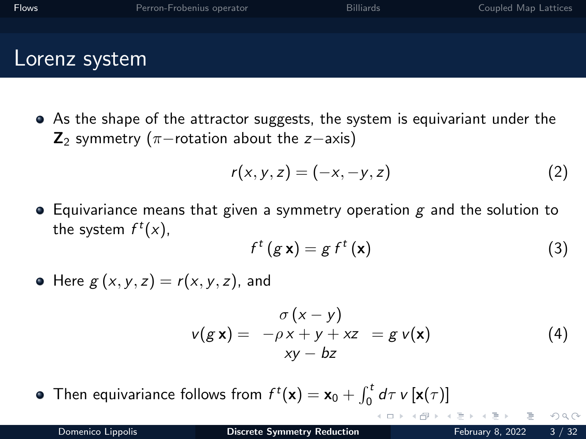As the shape of the attractor suggests, the system is equivariant under the  $\mathbf{Z}_2$  symmetry ( $\pi$ −rotation about the z−axis)

$$
r(x, y, z) = (-x, -y, z) \tag{2}
$$

 $\bullet$  Equivariance means that given a symmetry operation g and the solution to the system  $f^t(x)$ ,

$$
f^t(g \mathbf{x}) = g f^t(\mathbf{x}) \tag{3}
$$

 $\bullet$  Here  $g(x, y, z) = r(x, y, z)$ , and

$$
v(g \mathbf{x}) = -\rho \mathbf{x} + y + xz = g v(\mathbf{x})
$$
  
xy - bz (4)

 $\leftarrow$   $\Box$ 

Then equivariance follows from  $f^t(\mathbf{x}) = \mathbf{x}_0 + \int_0^t d\tau \: v \, [\mathbf{x}(\tau)]$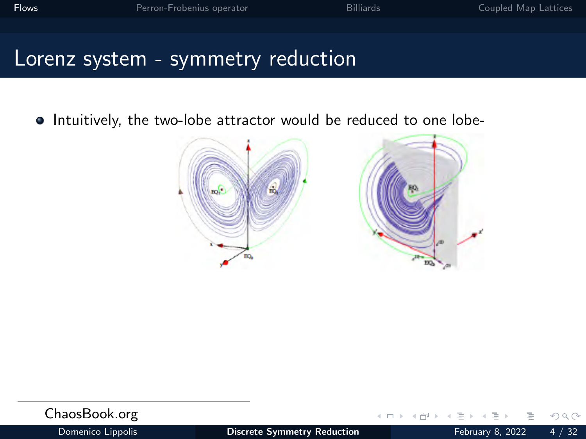$\bullet$  Intuitively, the two-lobe attractor would be reduced to one lobe-



| ChaosBook.org     |                                    | - ←ロ→ → 何→ → ヨ→ → ヨ→ ニヨー ЮДС |  |
|-------------------|------------------------------------|------------------------------|--|
| Domenico Lippolis | <b>Discrete Symmetry Reduction</b> | February 8, 2022 4 / 32      |  |

 $\Omega$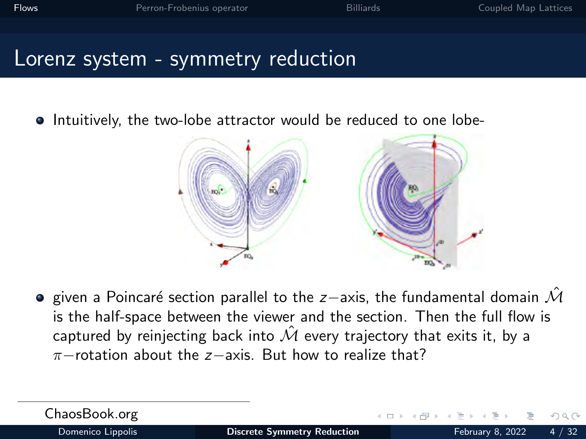• Intuitively, the two-lobe attractor would be reduced to one lobe-



**•** given a Poincaré section parallel to the z−axis, the fundamental domain  $\hat{\mathcal{M}}$ is the half-space between the viewer and the section. Then the full flow is captured by reinjecting back into  $\hat{\mathcal{M}}$  every trajectory that exits it, by a  $π$ −rotation about the  $z$ −axis. But how to realize that?

| ChaosBook.org     |  |
|-------------------|--|
| Domenico Lippolis |  |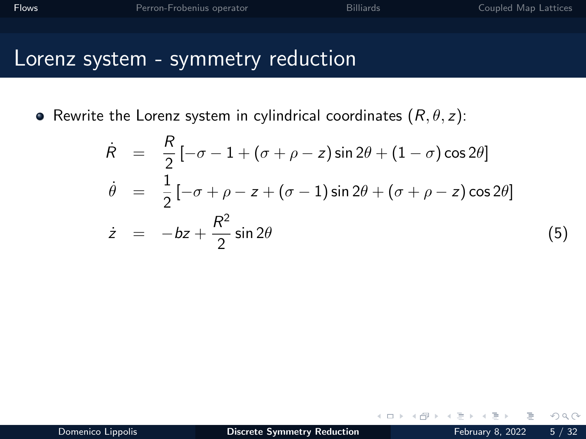| Flows | Perron-Frobenius operator | <b>Billiards</b> | Coupled Map Lattices |
|-------|---------------------------|------------------|----------------------|
|       |                           |                  |                      |

• Rewrite the Lorenz system in cylindrical coordinates  $(R, \theta, z)$ :

$$
\dot{R} = \frac{R}{2} \left[ -\sigma - 1 + (\sigma + \rho - z) \sin 2\theta + (1 - \sigma) \cos 2\theta \right]
$$
\n
$$
\dot{\theta} = \frac{1}{2} \left[ -\sigma + \rho - z + (\sigma - 1) \sin 2\theta + (\sigma + \rho - z) \cos 2\theta \right]
$$
\n
$$
\dot{z} = -bz + \frac{R^2}{2} \sin 2\theta \tag{5}
$$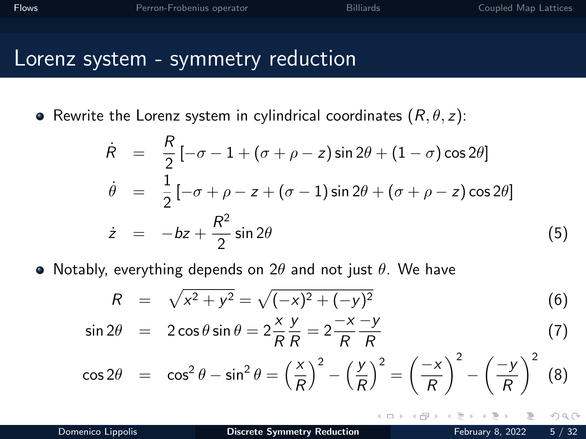| <b>Flows</b> | Perron-Frobenius operator | <b>Billiards</b> | Coupled Map Lattices |
|--------------|---------------------------|------------------|----------------------|
|              |                           |                  |                      |

• Rewrite the Lorenz system in cylindrical coordinates  $(R, \theta, z)$ :

$$
\dot{R} = \frac{R}{2} \left[ -\sigma - 1 + (\sigma + \rho - z) \sin 2\theta + (1 - \sigma) \cos 2\theta \right]
$$
\n
$$
\dot{\theta} = \frac{1}{2} \left[ -\sigma + \rho - z + (\sigma - 1) \sin 2\theta + (\sigma + \rho - z) \cos 2\theta \right]
$$
\n
$$
\dot{z} = -bz + \frac{R^2}{2} \sin 2\theta \tag{5}
$$

• Notably, everything depends on  $2\theta$  and not just  $\theta$ . We have

$$
R = \sqrt{x^2 + y^2} = \sqrt{(-x)^2 + (-y)^2}
$$
 (6)

$$
\sin 2\theta = 2\cos \theta \sin \theta = 2\frac{x}{R}\frac{y}{R} = 2\frac{-x}{R}\frac{-y}{R}
$$
 (7)

$$
\cos 2\theta = \cos^2 \theta - \sin^2 \theta = \left(\frac{x}{R}\right)^2 - \left(\frac{y}{R}\right)^2 = \left(\frac{-x}{R}\right)^2 - \left(\frac{-y}{R}\right)^2 \tag{8}
$$

 $\Omega$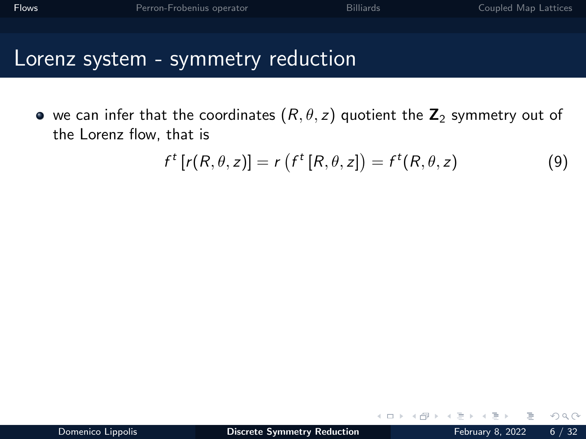| <b>Flows</b> | Perron-Frobenius operator | <b>Billiards</b> | Coupled Map Lattices |
|--------------|---------------------------|------------------|----------------------|
|              |                           |                  |                      |
|              |                           |                  |                      |

• we can infer that the coordinates  $(R, \theta, z)$  quotient the  $\mathbb{Z}_2$  symmetry out of the Lorenz flow, that is

$$
f^{t}[r(R, \theta, z)] = r(f^{t}[R, \theta, z]) = f^{t}(R, \theta, z)
$$
\n(9)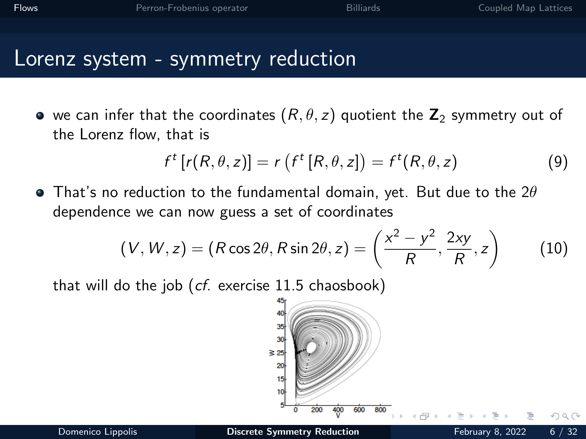| Flows | Perron-Frobenius operator | <b>Billiards</b> | Coupled Map Lattices |
|-------|---------------------------|------------------|----------------------|
|       |                           |                  |                      |

 $\bullet$  we can infer that the coordinates  $(R, \theta, z)$  quotient the  $\mathbb{Z}_2$  symmetry out of the Lorenz flow, that is

$$
f^{t}[r(R, \theta, z)] = r(f^{t}[R, \theta, z]) = f^{t}(R, \theta, z)
$$
\n(9)

 $\bullet$  That's no reduction to the fundamental domain, yet. But due to the 2 $\theta$ dependence we can now guess a set of coordinates

$$
(V, W, z) = (R\cos 2\theta, R\sin 2\theta, z) = \left(\frac{x^2 - y^2}{R}, \frac{2xy}{R}, z\right)
$$
 (10)

that will do the job  $(cf.$  exercise 11.5 chaosbook)

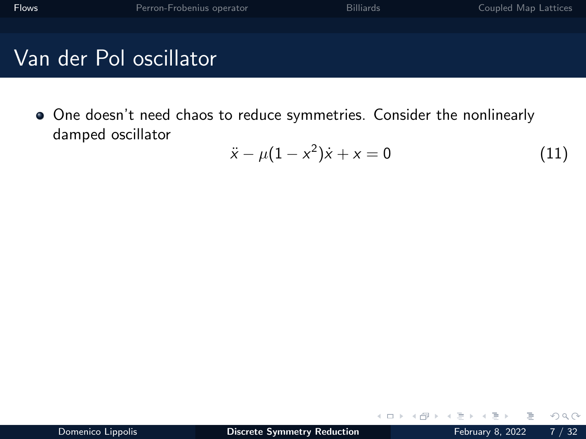$\bullet$  One doesn't need chaos to reduce symmetries. Consider the nonlinearly damped oscillator

$$
\ddot{x} - \mu(1 - x^2)\dot{x} + x = 0 \tag{11}
$$

 $\leftarrow$   $\Box$   $\rightarrow$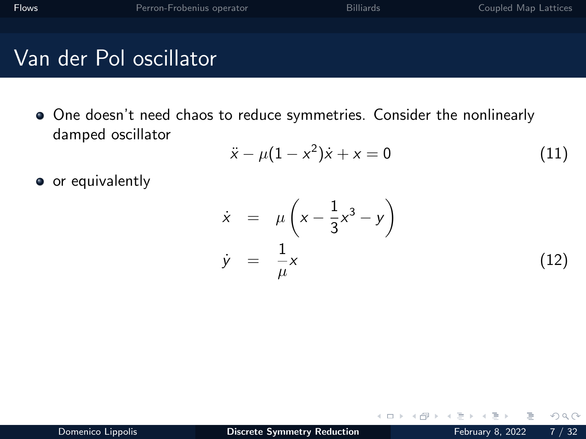$\bullet$  One doesn't need chaos to reduce symmetries. Consider the nonlinearly damped oscillator

$$
\ddot{x} - \mu(1 - x^2)\dot{x} + x = 0 \tag{11}
$$

• or equivalently

$$
\dot{x} = \mu \left( x - \frac{1}{3} x^3 - y \right)
$$
\n
$$
\dot{y} = \frac{1}{\mu} x \tag{12}
$$

 $\leftarrow$ 

 $QQQ$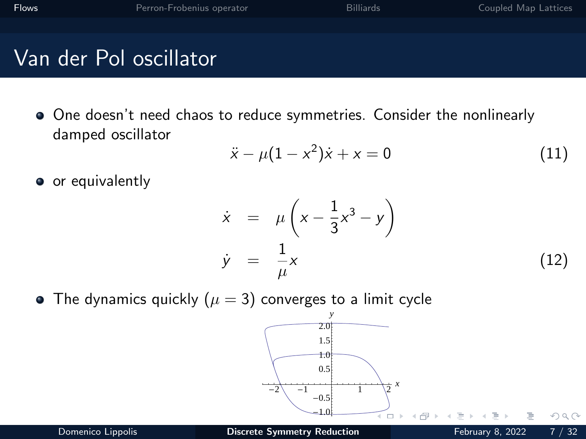• One doesn't need chaos to reduce symmetries. Consider the nonlinearly damped oscillator

$$
\ddot{x} - \mu(1 - x^2)\dot{x} + x = 0 \tag{11}
$$

• or equivalently

$$
\dot{x} = \mu \left( x - \frac{1}{3} x^3 - y \right)
$$
\n
$$
\dot{y} = \frac{1}{\mu} x \tag{12}
$$

• The dynamics quickly ( $\mu = 3$ ) converges to a limit cycle

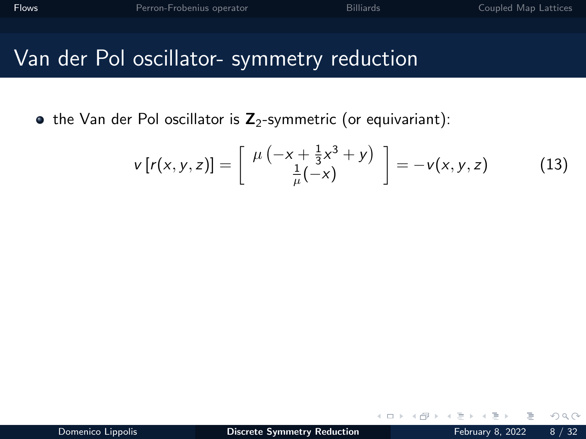## Van der Pol oscillator- symmetry reduction

 $\bullet$  the Van der Pol oscillator is  $\mathbb{Z}_2$ -symmetric (or equivariant):

$$
v[r(x, y, z)] = \begin{bmatrix} \mu(-x + \frac{1}{3}x^3 + y) \\ \frac{1}{\mu}(-x) \end{bmatrix} = -v(x, y, z) \quad (13)
$$

 $\leftarrow$ 

 $QQ$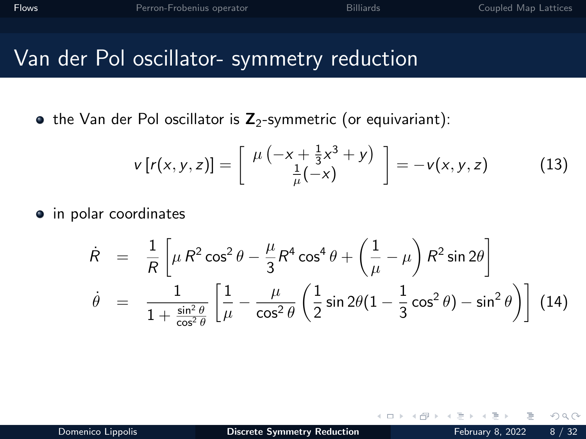## Van der Pol oscillator- symmetry reduction

 $\bullet$  the Van der Pol oscillator is  $\mathbb{Z}_2$ -symmetric (or equivariant):

$$
v[r(x, y, z)] = \begin{bmatrix} \mu(-x + \frac{1}{3}x^3 + y) \\ \frac{1}{\mu}(-x) \end{bmatrix} = -v(x, y, z) \quad (13)
$$

 $\leftarrow$ 

• in polar coordinates

$$
\dot{R} = \frac{1}{R} \left[ \mu R^2 \cos^2 \theta - \frac{\mu}{3} R^4 \cos^4 \theta + \left( \frac{1}{\mu} - \mu \right) R^2 \sin 2\theta \right]
$$
  

$$
\dot{\theta} = \frac{1}{1 + \frac{\sin^2 \theta}{\cos^2 \theta}} \left[ \frac{1}{\mu} - \frac{\mu}{\cos^2 \theta} \left( \frac{1}{2} \sin 2\theta (1 - \frac{1}{3} \cos^2 \theta) - \sin^2 \theta \right) \right]
$$
(14)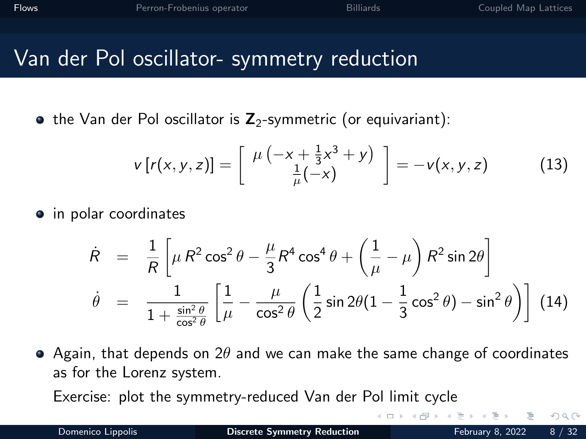### Van der Pol oscillator- symmetry reduction

 $\bullet$  the Van der Pol oscillator is  $\mathbb{Z}_2$ -symmetric (or equivariant):

$$
v[r(x, y, z)] = \begin{bmatrix} \mu(-x + \frac{1}{3}x^3 + y) \\ \frac{1}{\mu}(-x) \end{bmatrix} = -v(x, y, z) \quad (13)
$$

• in polar coordinates

$$
\dot{R} = \frac{1}{R} \left[ \mu R^2 \cos^2 \theta - \frac{\mu}{3} R^4 \cos^4 \theta + \left( \frac{1}{\mu} - \mu \right) R^2 \sin 2\theta \right]
$$
  

$$
\dot{\theta} = \frac{1}{1 + \frac{\sin^2 \theta}{\cos^2 \theta}} \left[ \frac{1}{\mu} - \frac{\mu}{\cos^2 \theta} \left( \frac{1}{2} \sin 2\theta (1 - \frac{1}{3} \cos^2 \theta) - \sin^2 \theta \right) \right]
$$
(14)

 $\bullet$  Again, that depends on 2 $\theta$  and we can make the same change of coordinates as for the Lorenz system.

Exercise: plot the symmetry-reduced Van der Pol limit cycle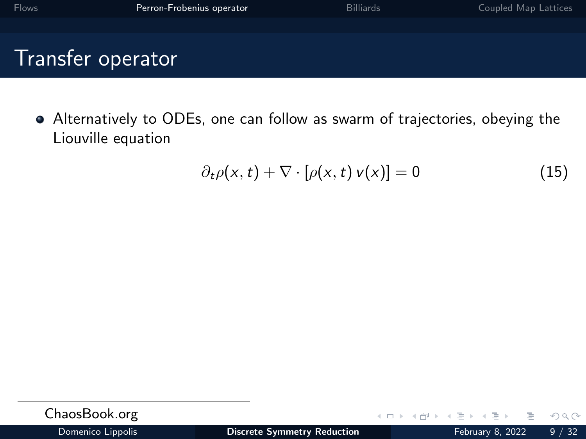<span id="page-19-0"></span>

| <b>Flows</b>      | Perron-Frobenius operator | <b>Billiards</b> | Coupled Map Lattices |
|-------------------|---------------------------|------------------|----------------------|
|                   |                           |                  |                      |
| Transfer operator |                           |                  |                      |

Alternatively to ODEs, one can follow as swarm of trajectories, obeying the Liouville equation

$$
\partial_t \rho(x, t) + \nabla \cdot [\rho(x, t) \nu(x)] = 0 \qquad (15)
$$

| ChaosBook.org     |                             | $\mathcal{A} \ \Box \ \Vdash \ \mathcal{A} \ \overline{\mathcal{B}} \ \Vdash \ \mathcal{A} \ \overline{\mathcal{B}}$ |  |
|-------------------|-----------------------------|----------------------------------------------------------------------------------------------------------------------|--|
| Domenico Linnolis | Discrete Symmetry Reduction |                                                                                                                      |  |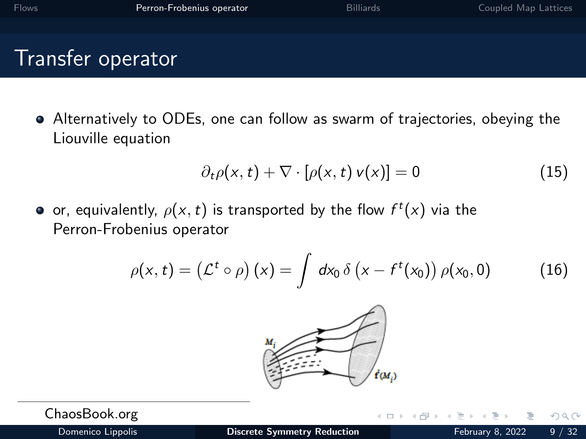Alternatively to ODEs, one can follow as swarm of trajectories, obeying the Liouville equation

$$
\partial_t \rho(x, t) + \nabla \cdot [\rho(x, t) \, v(x)] = 0 \tag{15}
$$

or, equivalently,  $\rho(\mathsf{x},t)$  is transported by the flow  $f^t(\mathsf{x})$  via the Perron-Frobenius operator

$$
\rho(x,t) = \left(\mathcal{L}^t \circ \rho\right)(x) = \int dx_0 \, \delta\left(x - f^t(x_0)\right) \rho(x_0,0) \tag{16}
$$



ChaosBook.org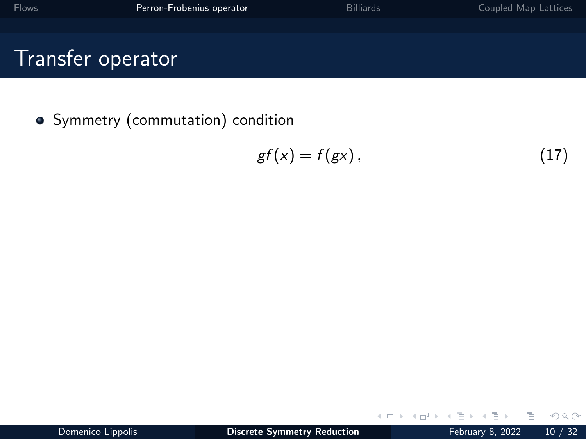**•** Symmetry (commutation) condition

$$
gf(x) = f(gx), \qquad (17)
$$

 $\leftarrow$   $\Box$   $\rightarrow$ 

∍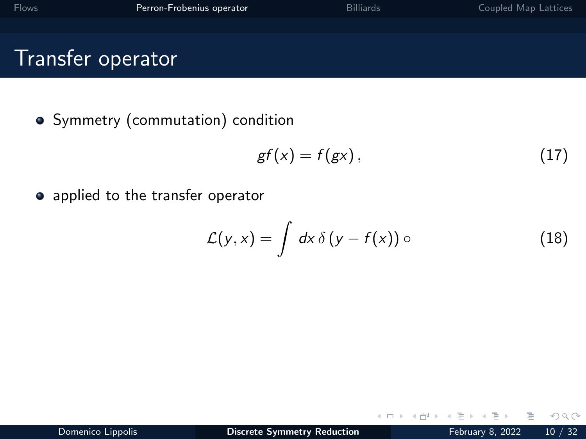• Symmetry (commutation) condition

$$
gf(x) = f(gx), \qquad (17)
$$

• applied to the transfer operator

$$
\mathcal{L}(y,x) = \int dx \, \delta(y - f(x)) \circ \tag{18}
$$

 $\leftarrow$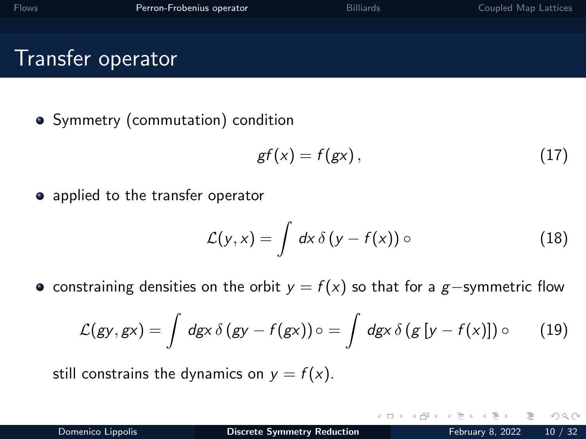Symmetry (commutation) condition

$$
gf(x) = f(gx), \qquad (17)
$$

• applied to the transfer operator

$$
\mathcal{L}(y,x) = \int dx \, \delta(y - f(x)) \circ \tag{18}
$$

• constraining densities on the orbit  $y = f(x)$  so that for a g-symmetric flow

$$
\mathcal{L}(gy, gx) = \int dgx \,\delta(gy - f(gx)) \circ = \int dgx \,\delta(g[y - f(x)]) \circ \qquad (19)
$$

still constrains the dynamics on  $y = f(x)$ .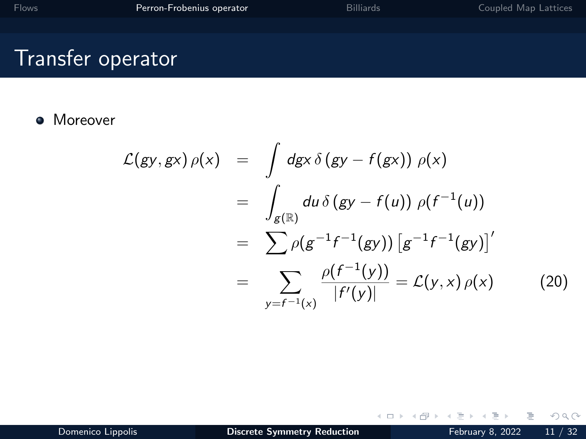**•** Moreover

$$
\mathcal{L}(gy, gx) \rho(x) = \int dgx \delta(gy - f(gx)) \rho(x)
$$
  
\n
$$
= \int_{g(\mathbb{R})} du \delta(gy - f(u)) \rho(f^{-1}(u))
$$
  
\n
$$
= \sum_{y=f^{-1}(x)} \rho(g^{-1}f^{-1}(gy)) [g^{-1}f^{-1}(gy)]'
$$
  
\n
$$
= \sum_{y=f^{-1}(x)} \frac{\rho(f^{-1}(y))}{|f'(y)|} = \mathcal{L}(y, x) \rho(x) \qquad (20)
$$

 $\leftarrow$   $\Box$   $\rightarrow$ 

- 1 円 →

E

Ξ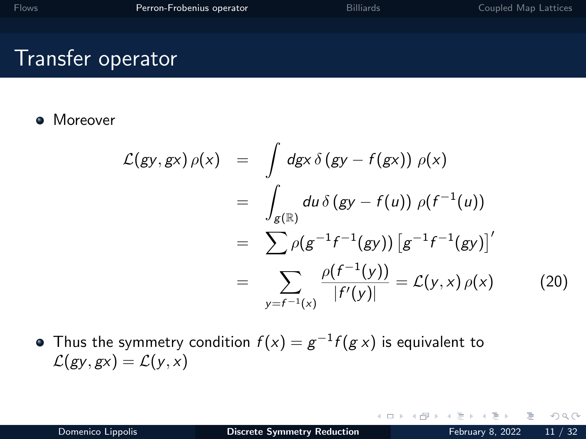**A** Moreover

$$
\mathcal{L}(gy, gx) \rho(x) = \int dgx \, \delta(gy - f(gx)) \rho(x)
$$
  
= 
$$
\int_{g(\mathbb{R})} du \, \delta(gy - f(u)) \rho(f^{-1}(u))
$$
  
= 
$$
\sum_{g(f^{-1}(x))} \rho(g^{-1}f^{-1}(gy)) [g^{-1}f^{-1}(gy)]'
$$
  
= 
$$
\sum_{g(f^{-1}(x))} \frac{\rho(f^{-1}(y))}{|f'(y)|} = \mathcal{L}(y, x) \rho(x)
$$
 (20)

 $\leftarrow$   $\Box$   $\rightarrow$ 

Thus the symmetry condition  $f(x)=g^{-1}f(g\,x)$  is equivalent to  $\mathcal{L}(gy,gx) = \mathcal{L}(y,x)$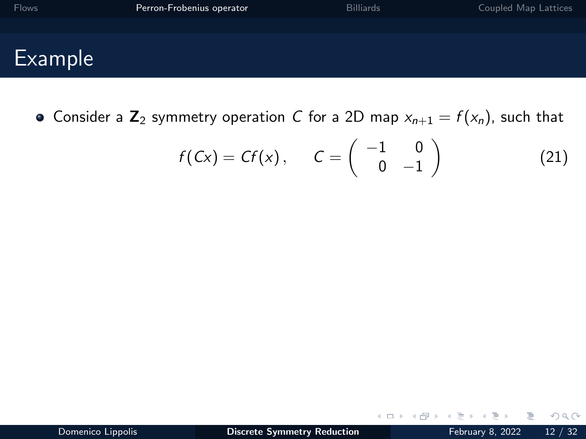| <b>Flows</b> | Perron-Frobenius operator | <b>Billiards</b> | Coupled Map Lattices |
|--------------|---------------------------|------------------|----------------------|
|              |                           |                  |                      |
| Example      |                           |                  |                      |

• Consider a  $\mathbb{Z}_2$  symmetry operation C for a 2D map  $x_{n+1} = f(x_n)$ , such that

$$
f(Cx) = Cf(x), \qquad C = \begin{pmatrix} -1 & 0 \\ 0 & -1 \end{pmatrix}
$$
 (21)

 $\leftarrow$ 

 $2Q$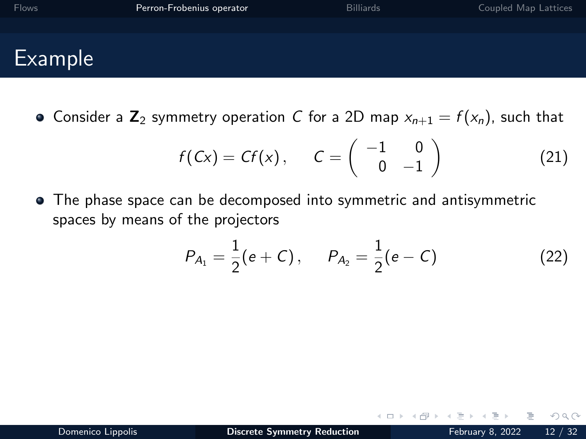| <b>Flows</b> | Perron-Frobenius operator | <b>Billiards</b> | Coupled Map Lattices |
|--------------|---------------------------|------------------|----------------------|
|              |                           |                  |                      |
| Example      |                           |                  |                      |

• Consider a  $\mathbb{Z}_2$  symmetry operation C for a 2D map  $x_{n+1} = f(x_n)$ , such that

$$
f(Cx) = Cf(x), \qquad C = \begin{pmatrix} -1 & 0 \\ 0 & -1 \end{pmatrix}
$$
 (21)

The phase space can be decomposed into symmetric and antisymmetric spaces by means of the projectors

$$
P_{A_1} = \frac{1}{2}(e+C), \qquad P_{A_2} = \frac{1}{2}(e-C) \tag{22}
$$

 $\Omega$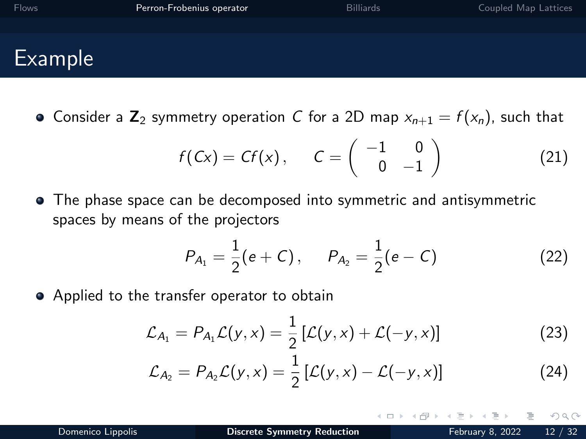<span id="page-28-0"></span>

| <b>Flows</b> | Perron-Frobenius operator | <b>Billiards</b> | Coupled Map Lattices |
|--------------|---------------------------|------------------|----------------------|
|              |                           |                  |                      |
| Example      |                           |                  |                      |

• Consider a  $\mathbb{Z}_2$  symmetry operation C for a 2D map  $x_{n+1} = f(x_n)$ , such that

$$
f(Cx) = Cf(x), \qquad C = \begin{pmatrix} -1 & 0 \\ 0 & -1 \end{pmatrix}
$$
 (21)

The phase space can be decomposed into symmetric and antisymmetric spaces by means of the projectors

$$
P_{A_1} = \frac{1}{2}(e+C), \qquad P_{A_2} = \frac{1}{2}(e-C) \tag{22}
$$

• Applied to the transfer operator to obtain

$$
\mathcal{L}_{A_1} = P_{A_1} \mathcal{L}(y, x) = \frac{1}{2} \left[ \mathcal{L}(y, x) + \mathcal{L}(-y, x) \right]
$$
 (23)

$$
\mathcal{L}_{A_2} = P_{A_2}\mathcal{L}(y,x) = \frac{1}{2}\left[\mathcal{L}(y,x) - \mathcal{L}(-y,x)\right]
$$
 (24)

つへへ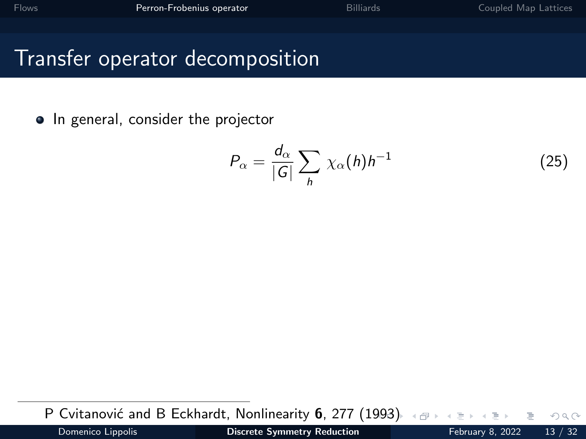<span id="page-29-0"></span>• In general, consider the projector

$$
P_{\alpha} = \frac{d_{\alpha}}{|G|} \sum_{h} \chi_{\alpha}(h) h^{-1}
$$
 (25)

P Cvitanović and B Eckhardt, Nonlinearity 6, 277 (1[99](#page-28-0)3[\)](#page-30-0)

 $QQ$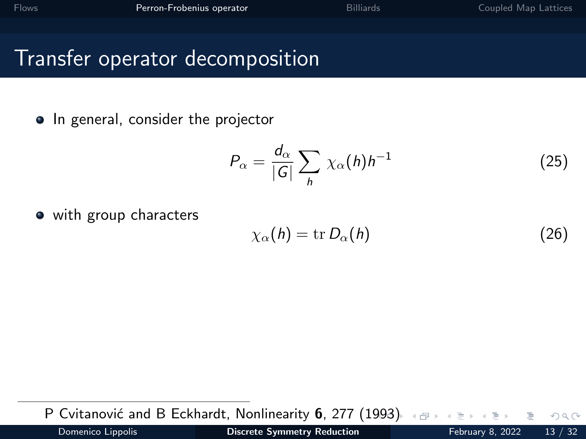<span id="page-30-0"></span>• In general, consider the projector

$$
P_{\alpha} = \frac{d_{\alpha}}{|G|} \sum_{h} \chi_{\alpha}(h) h^{-1}
$$
 (25)

• with group characters

$$
\chi_{\alpha}(h) = \text{tr } D_{\alpha}(h) \tag{26}
$$

P Cvitanović and B Eckhardt, Nonlinearity 6, 277 (1[99](#page-29-0)3[\)](#page-31-0)

Domenico Lippolis **[Discrete Symmetry Reduction](#page-0-0)** February 8, 2022 13 / 32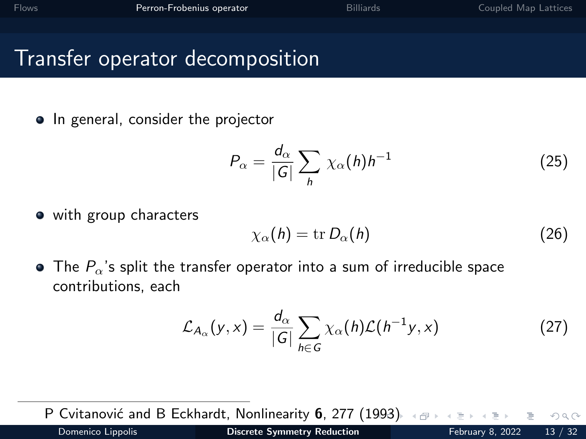<span id="page-31-0"></span>• In general, consider the projector

$$
P_{\alpha} = \frac{d_{\alpha}}{|G|} \sum_{h} \chi_{\alpha}(h) h^{-1}
$$
 (25)

• with group characters

$$
\chi_{\alpha}(h) = \text{tr } D_{\alpha}(h) \tag{26}
$$

 $\bullet$  The  $P_{\alpha}$ 's split the transfer operator into a sum of irreducible space contributions, each

$$
\mathcal{L}_{A_{\alpha}}(y,x) = \frac{d_{\alpha}}{|G|} \sum_{h \in G} \chi_{\alpha}(h) \mathcal{L}(h^{-1}y,x)
$$
 (27)

P Cvitanović and B Eckhardt, Nonlinearity 6, 277 (1[99](#page-30-0)3[\)](#page-32-0).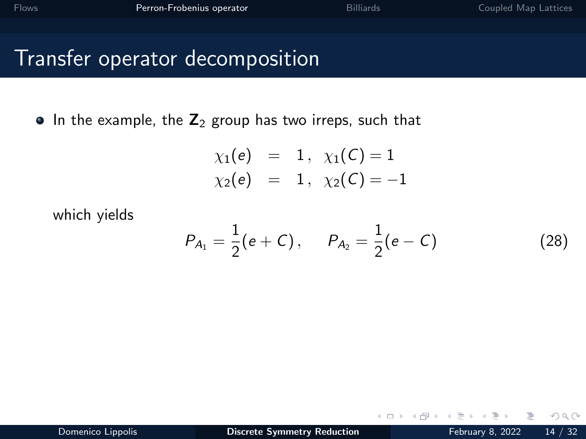<span id="page-32-0"></span> $\bullet$  In the example, the  $\mathbb{Z}_2$  group has two irreps, such that

$$
\chi_1(e) = 1, \ \chi_1(C) = 1
$$
  
\n $\chi_2(e) = 1, \ \chi_2(C) = -1$ 

which yields

$$
P_{A_1} = \frac{1}{2}(e+C), \qquad P_{A_2} = \frac{1}{2}(e-C) \tag{28}
$$

 $\leftarrow$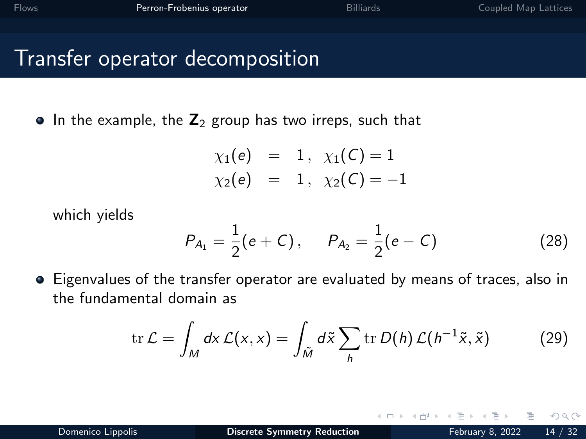$\bullet$  In the example, the  $\mathbb{Z}_2$  group has two irreps, such that

$$
\chi_1(e) = 1, \ \chi_1(C) = 1
$$
  
\n $\chi_2(e) = 1, \ \chi_2(C) = -1$ 

which yields

$$
P_{A_1} = \frac{1}{2}(e+C), \qquad P_{A_2} = \frac{1}{2}(e-C)
$$
 (28)

Eigenvalues of the transfer operator are evaluated by means of traces, also in the fundamental domain as

$$
\operatorname{tr}\mathcal{L}=\int_M dx \,\mathcal{L}(x,x)=\int_{\tilde{M}}d\tilde{x}\sum_h \operatorname{tr}D(h)\,\mathcal{L}(h^{-1}\tilde{x},\tilde{x})\qquad \qquad (29)
$$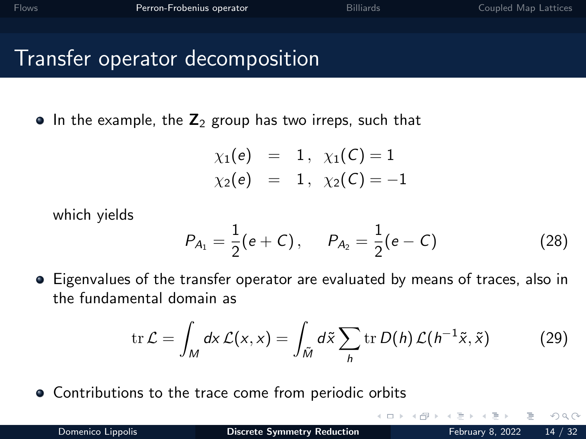$\bullet$  In the example, the  $\mathbb{Z}_2$  group has two irreps, such that

$$
\chi_1(e) = 1, \ \chi_1(C) = 1
$$
  
\n $\chi_2(e) = 1, \ \chi_2(C) = -1$ 

which yields

$$
P_{A_1} = \frac{1}{2}(e+C), \qquad P_{A_2} = \frac{1}{2}(e-C)
$$
 (28)

Eigenvalues of the transfer operator are evaluated by means of traces, also in the fundamental domain as

$$
\operatorname{tr}\mathcal{L}=\int_M dx\,\mathcal{L}(x,x)=\int_{\tilde{M}}d\tilde{x}\sum_h\operatorname{tr}D(h)\,\mathcal{L}(h^{-1}\tilde{x},\tilde{x})\qquad \qquad (29)
$$

Contributions to the trace come from periodic orbits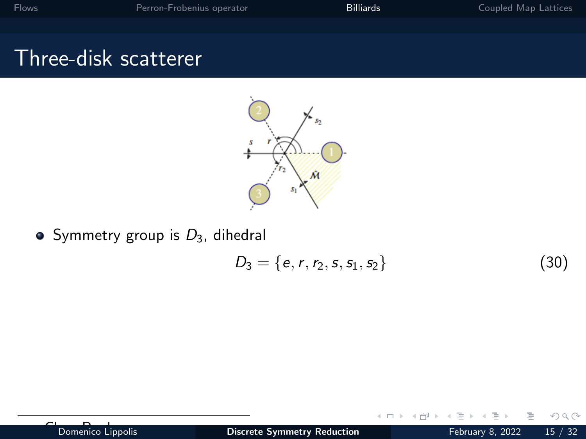## <span id="page-35-0"></span>Three-disk scatterer



 $\bullet$  Symmetry group is  $D_3$ , dihedral

$$
D_3 = \{e, r, r_2, s, s_1, s_2\} \tag{30}
$$

 $\leftarrow$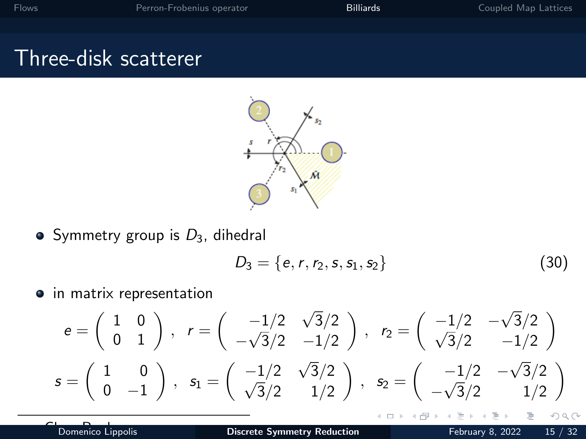# Three-disk scatterer



 $\bullet$  Symmetry group is  $D_3$ , dihedral

$$
D_3 = \{e, r, r_2, s, s_1, s_2\} \tag{30}
$$

 $\leftarrow$ 

 $\bullet$  in matrix representation

$$
e = \begin{pmatrix} 1 & 0 \\ 0 & 1 \end{pmatrix}, r = \begin{pmatrix} -1/2 & \sqrt{3}/2 \\ -\sqrt{3}/2 & -1/2 \end{pmatrix}, r_2 = \begin{pmatrix} -1/2 & -\sqrt{3}/2 \\ \sqrt{3}/2 & -1/2 \end{pmatrix}
$$
  

$$
s = \begin{pmatrix} 1 & 0 \\ 0 & -1 \end{pmatrix}, s_1 = \begin{pmatrix} -1/2 & \sqrt{3}/2 \\ \sqrt{3}/2 & 1/2 \end{pmatrix}, s_2 = \begin{pmatrix} -1/2 & -\sqrt{3}/2 \\ -\sqrt{3}/2 & 1/2 \end{pmatrix}
$$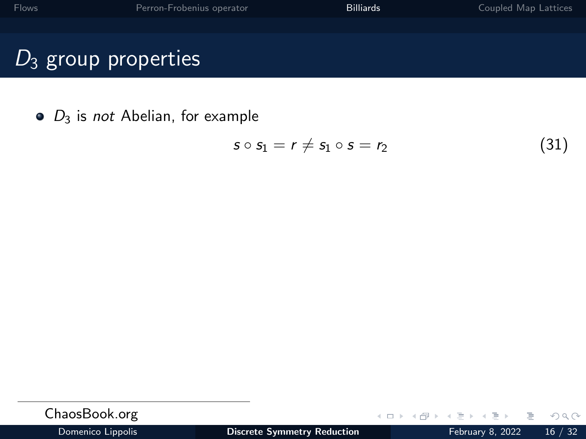$\bullet$   $D_3$  is not Abelian, for example

$$
s \circ s_1 = r \neq s_1 \circ s = r_2 \tag{31}
$$

| ChaosBook.org     |                                    |  |                  | - イロト イ母 ト イヨ ト イヨ トー ヨー ・ の 9,0〜 |
|-------------------|------------------------------------|--|------------------|-----------------------------------|
| Domenico Lippolis | <b>Discrete Symmetry Reduction</b> |  | February 8, 2022 | 16/32                             |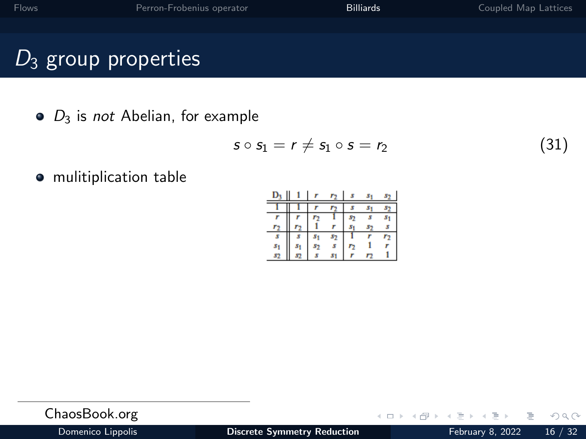# $D_3$  group properties

 $\bullet$   $D_3$  is *not* Abelian, for example

$$
s \circ s_1 = r \neq s_1 \circ s = r_2 \tag{31}
$$

 $\leftarrow$   $\Box$   $\rightarrow$ 

mulitiplication table

| S |  |  |  |
|---|--|--|--|
|   |  |  |  |

| ChaosBook.org    |  |
|------------------|--|
| Damaster Haralle |  |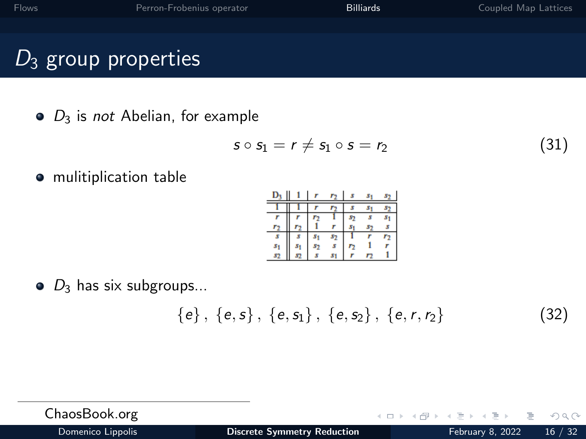# $D_3$  group properties

 $\bullet$   $D_3$  is *not* Abelian, for example

$$
s \circ s_1 = r \neq s_1 \circ s = r_2 \tag{31}
$$

mulitiplication table

$$
\begin{array}{c|cccccccccccccc} D_3 & 1 & r & r_2 & s & s_1 & s_2 \\ \hline 1 & 1 & 1 & r & r_2 & s & s_1 & s_2 \\ \hline r & r & r_2 & r_3 & 1 & s_2 & s & s_1 \\ r_2 & r_2 & 1 & r & s_1 & s_2 & s & s_1 \\ s_1 & s_1 & s_2 & s & r_2 & 1 & r & r_2 \\ s_1 & s_1 & s_2 & s & s_1 & r & r_2 & 1 \\ s_2 & s & s & s_1 & r & r_2 & 1 & 1 \\ \end{array}
$$

 $\bullet$   $D_3$  has six subgroups...

$$
\{e\},\ \{e,s\},\ \{e,s_1\},\ \{e,s_2\},\ \{e,r,r_2\} \qquad (32)
$$

 $\leftarrow$ 

ChaosBook.org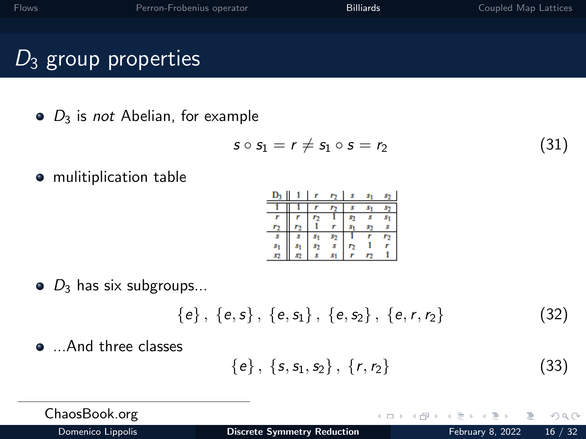# $D_3$  group properties

 $\bullet$   $D_3$  is *not* Abelian, for example

$$
s \circ s_1 = r \neq s_1 \circ s = r_2 \tag{31}
$$

mulitiplication table

$$
\begin{array}{c|cccccc} D_3 & 1 & r & r_2 & s & s_1 & s_2 \\ \hline 1 & 1 & 1 & r & r_2 & s & s_1 & s_2 \\ \hline r & r & r & r_2 & s & s & s_1 \\ r_2 & r_2 & 1 & r & s_1 & s_2 & s \\ \hline s & s_1 & s_1 & s_2 & 1 & r & r_2 \\ s_1 & s_2 & s_2 & s & r_2 & 1 & r \\ s_2 & s_3 & s_3 & s_1 & r & r_2 & 1 \\ \end{array}
$$

 $\bullet$   $D_3$  has six subgroups...

$$
\{e\},\ \{e,s\},\ \{e,s_1\},\ \{e,s_2\},\ \{e,r,r_2\} \qquad (32)
$$

• ...And three classes

$$
\{e\}, \{s, s_1, s_2\}, \{r, r_2\} \tag{33}
$$

 $\leftarrow$ 

ChaosBook.org

 $QQ$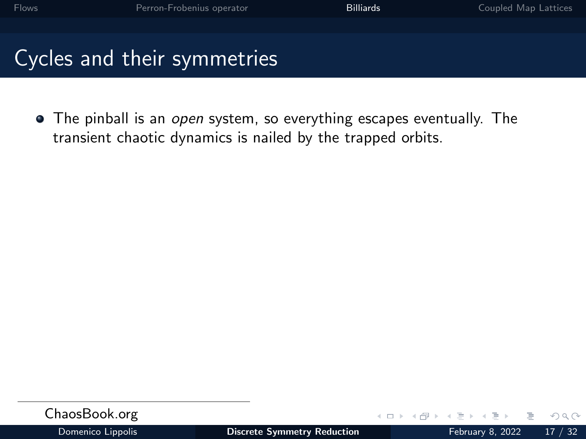• The pinball is an open system, so everything escapes eventually. The transient chaotic dynamics is nailed by the trapped orbits.

| ChaosBook.org     |                             | $-1$ $-1$ $-1$ |  |
|-------------------|-----------------------------|----------------|--|
| Domenico Linnolis | Discrete Symmetry Reduction |                |  |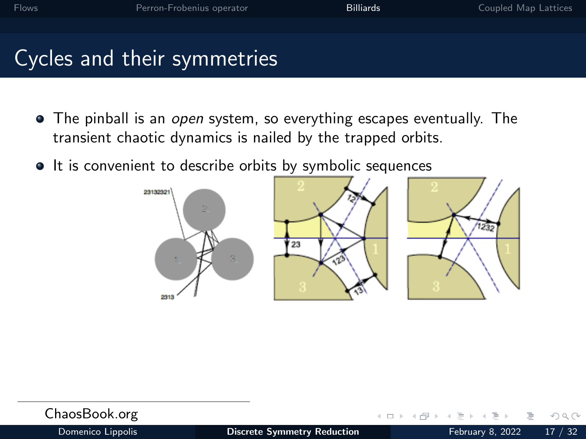- The pinball is an open system, so everything escapes eventually. The transient chaotic dynamics is nailed by the trapped orbits.
- It is convenient to describe orbits by symbolic sequences







| ChaosBook.org     |                                    | - イロト イ母 ト イヨ ト イヨ ト ニヨー めんの |  |
|-------------------|------------------------------------|------------------------------|--|
| Domenico Lippolis | <b>Discrete Symmetry Reduction</b> | February 8, 2022 17 / 32     |  |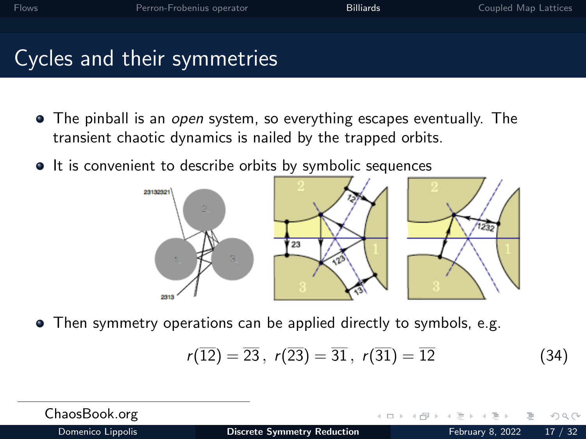- <span id="page-43-0"></span>• The pinball is an *open* system, so everything escapes eventually. The transient chaotic dynamics is nailed by the trapped orbits.
- It is convenient to describe orbits by symbolic sequences



Then symmetry operations can be applied directly to symbols, e.g.

$$
r(\overline{12}) = \overline{23}, r(\overline{23}) = \overline{31}, r(\overline{31}) = \overline{12}
$$
 (34)

ChaosBook.org  $OQ$ Domenico Lippolis **[Discrete Symmetry Reduction](#page-0-0)** February 8, 2022 17 / 32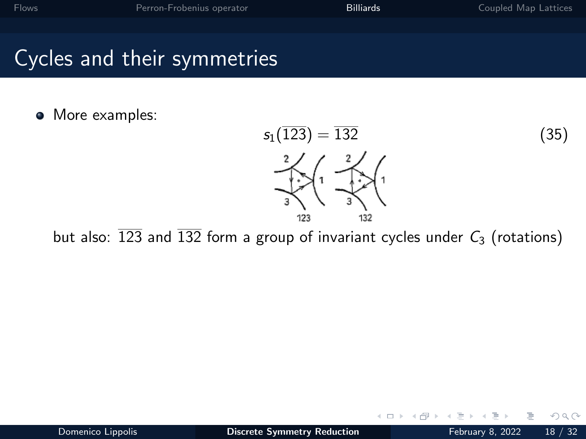#### <span id="page-44-0"></span>• More examples:



 $\leftarrow$ 

but also:  $\overline{123}$  and  $\overline{132}$  form a group of invariant cycles under  $C_3$  (rotations)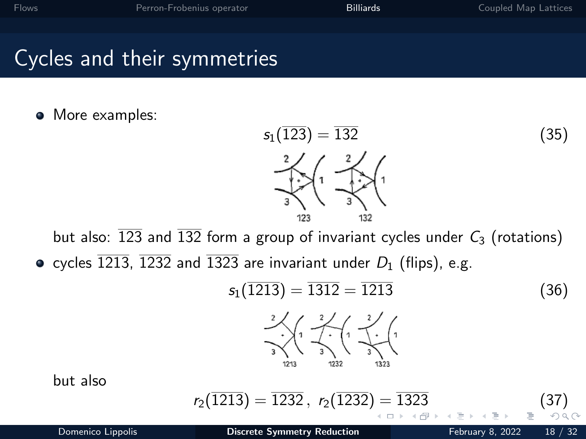#### <span id="page-45-0"></span>• More examples:

$$
s_1(\overline{123}) = \overline{132}
$$
\n
$$
\begin{array}{c}\n2 \\
2 \\
3\n\end{array}\n\qquad (35)
$$
\n
$$
s_1(\overline{123}) = \overline{132}
$$

but also:  $\overline{123}$  and  $\overline{132}$  form a group of invariant cycles under  $C_3$  (rotations) • cycles  $\overline{1213}$ ,  $\overline{1232}$  and  $\overline{1323}$  are invariant under  $D_1$  (flips), e.g.

$$
s_1(\overline{1213}) = \overline{1312} = \overline{1213}
$$
(36)  

$$
\frac{2}{3} \left(1 - \frac{2}{3}\right) \left(1 - \frac{2}{3}\right)
$$

$$
s_1(\overline{1213}) = \frac{2}{3} \left(1 - \frac{2}{3}\right)
$$

but also

$$
r_2(\overline{1213}) = \overline{1232}, \ \ r_2(\overline{1232}) = \overline{1323} \tag{37}
$$

Domenico Lippolis **[Discrete Symmetry Reduction](#page-0-0)** February 8, 2022 18 / 32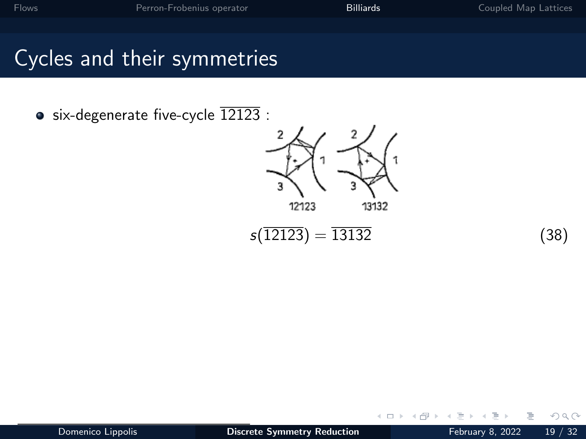<span id="page-46-0"></span> $\bullet$  six-degenerate five-cycle  $12123$ :



$$
s(\overline{12123}) = \overline{13132} \tag{38}
$$

 $\leftarrow$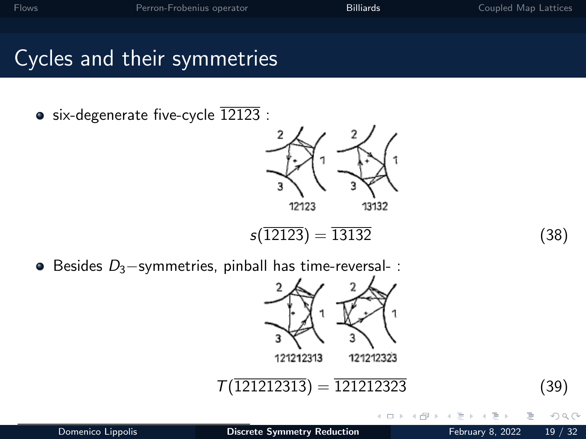• six-degenerate five-cycle  $\overline{12123}$  :



$$
s(\overline{12123}) = \overline{13132} \tag{38}
$$

 $\Box$ 

 $\bullet$  Besides  $D_3$ -symmetries, pinball has time-reversal- :

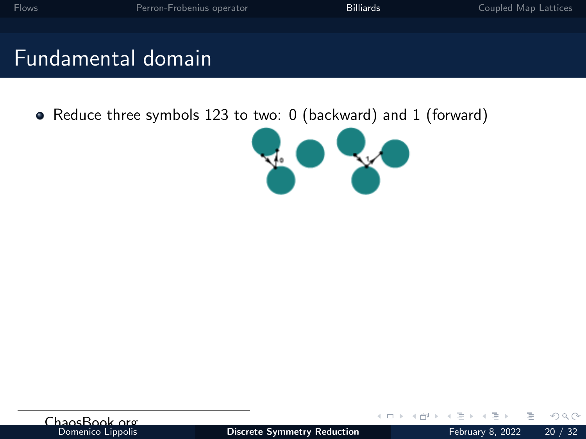# Fundamental domain

• Reduce three symbols 123 to two: 0 (backward) and 1 (forward)



| ChansBook org     |  |
|-------------------|--|
| Domenico Lippolis |  |

 $\leftarrow$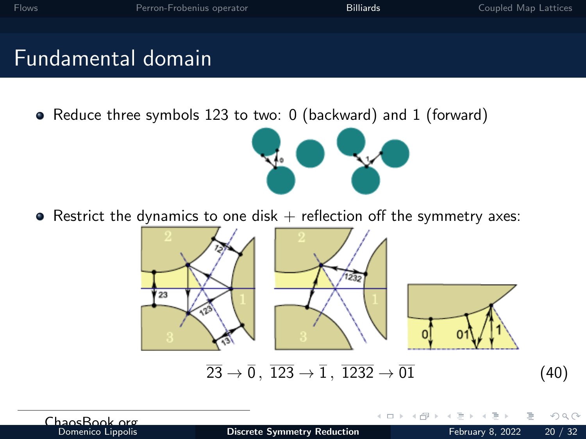# Fundamental domain

• Reduce three symbols 123 to two: 0 (backward) and 1 (forward)



• Restrict the dynamics to one disk  $+$  reflection off the symmetry axes:



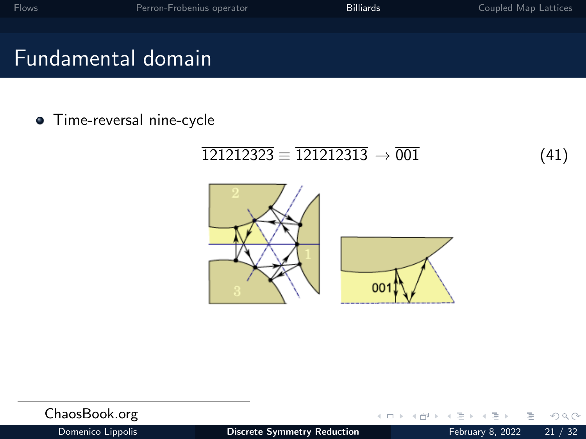# <span id="page-50-0"></span>Fundamental domain

**•** Time-reversal nine-cycle

#### $\overline{121212323} \equiv \overline{121212313} \rightarrow \overline{001}$  (41)



| ChaosBook.org     |                                    | - イロト イ母 ト イヨ ト イヨ ト ニヨー つなの |  |
|-------------------|------------------------------------|------------------------------|--|
| Domenico Lippolis | <b>Discrete Symmetry Reduction</b> | February 8, 2022 21 / 32     |  |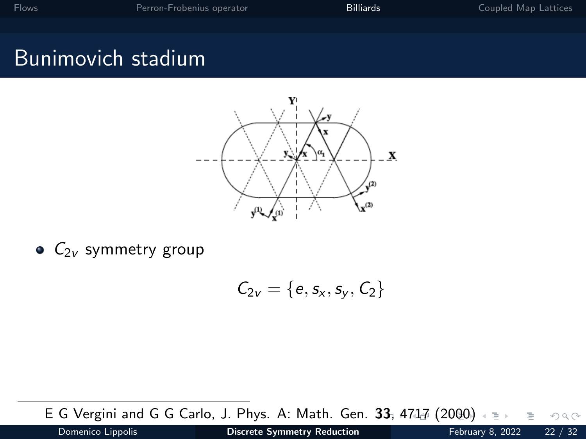# <span id="page-51-0"></span>Bunimovich stadium



 $\bullet$   $C_{2v}$  symmetry group

$$
\mathcal{C}_{2v}=\{e,s_x,s_y,C_2\}
$$

E G Vergini and G G Carlo, J. Phys. A: Math. Gen. [33](#page-50-0), [4](#page-52-0)[7](#page-50-0)[1](#page-51-0)[7](#page-53-0) [\(](#page-54-0)[20](#page-34-0)[0](#page-35-0)[0](#page-58-0)[\)](#page-59-0)  $OQ$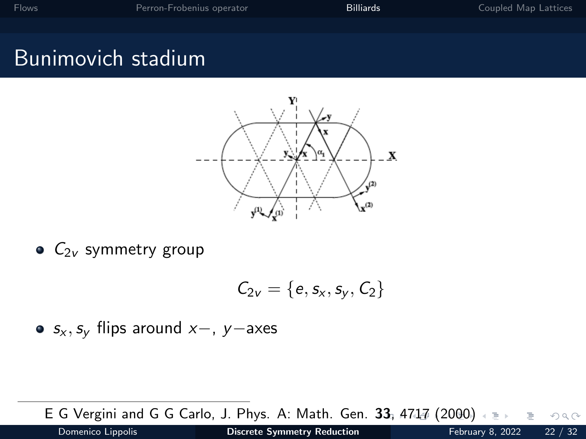# <span id="page-52-0"></span>Bunimovich stadium



 $\bullet$   $C_{2v}$  symmetry group

$$
\mathcal{C}_{2v}=\{e,s_x,s_y,C_2\}
$$

•  $s_x$ ,  $s_y$  flips around  $x-$ , y−axes

E G Vergini and G G Carlo, J. Phys. A: Math. Gen. [33](#page-51-0), [4](#page-53-0)[7](#page-50-0)[1](#page-51-0)[7](#page-53-0) [\(](#page-54-0)[20](#page-34-0)[0](#page-35-0)[0](#page-58-0)[\)](#page-59-0)  $OQ$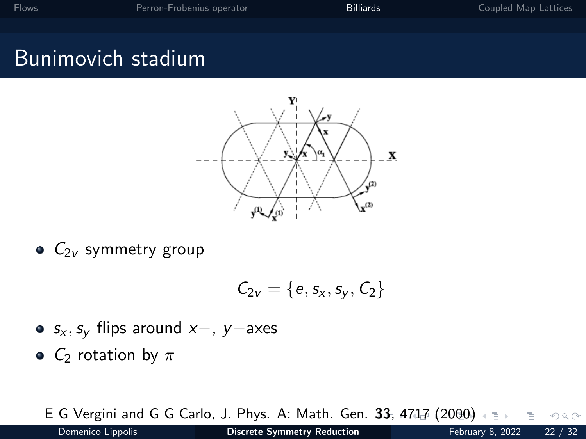# <span id="page-53-0"></span>Bunimovich stadium



 $\bullet$   $C_{2v}$  symmetry group

$$
\mathcal{C}_{2v}=\{e,s_x,s_y,C_2\}
$$

- $s_x$ ,  $s_y$  flips around  $x-$ , y−axes
- $C_2$  rotation by  $\pi$

E G Vergini and G G Carlo, J. Phys. A: Math. Gen. [33](#page-52-0), [4](#page-54-0)[7](#page-50-0)[1](#page-51-0)[7](#page-53-0) [\(](#page-54-0)[20](#page-34-0)[0](#page-35-0)[0](#page-58-0)[\)](#page-59-0)  $OQ$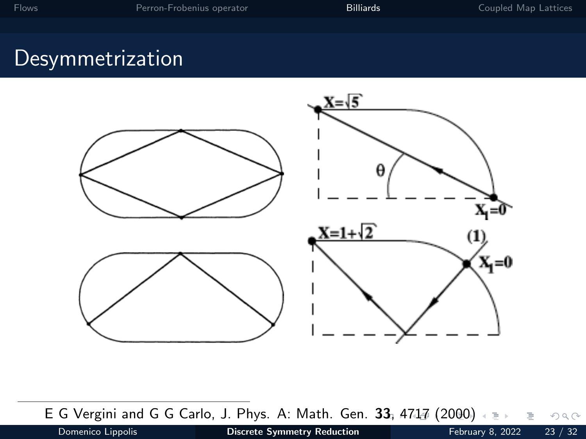# <span id="page-54-0"></span>**Desymmetrization**



E G Vergini and G G Carlo, J. Phys. A: Math. Gen. [33](#page-53-0), [4](#page-55-0)[7](#page-53-0)[17](#page-54-0) [\(](#page-55-0)[20](#page-34-0)[0](#page-35-0)[0](#page-58-0)[\)](#page-59-0)  $\equiv$  $OQ$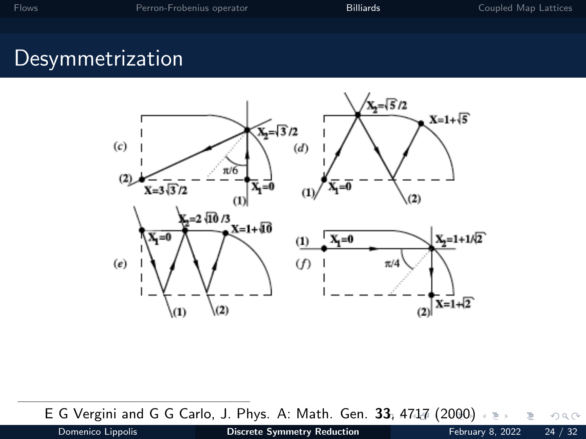# <span id="page-55-0"></span>Desymmetrization



E G Vergini and G G Carlo, J. Phys. A: Math. Gen. [33](#page-54-0), [4](#page-56-0)[7](#page-54-0)[17](#page-55-0) [\(](#page-56-0)[20](#page-34-0)[0](#page-35-0)[0](#page-58-0)[\)](#page-59-0) E  $OQ$  $\equiv$ 

Domenico Lippolis **[Discrete Symmetry Reduction](#page-0-0)** February 8, 2022 24 / 32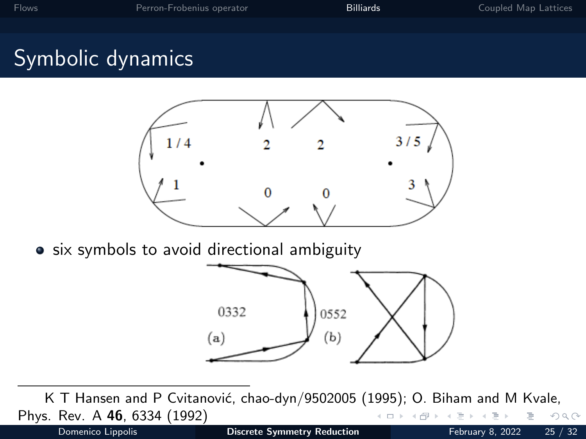# <span id="page-56-0"></span>Symbolic dynamics



• six symbols to avoid directional ambiguity



K T Hansen and P Cvitanović, chao-dyn/9502005 (1995); O. Biham and M Kvale, Phys. Rev. A 46, 6334 (1992)  $\mathcal{O}\subseteq\mathcal{O}$ Domenico Lippolis **[Discrete Symmetry Reduction](#page-0-0)** February 8, 2022 25 / 32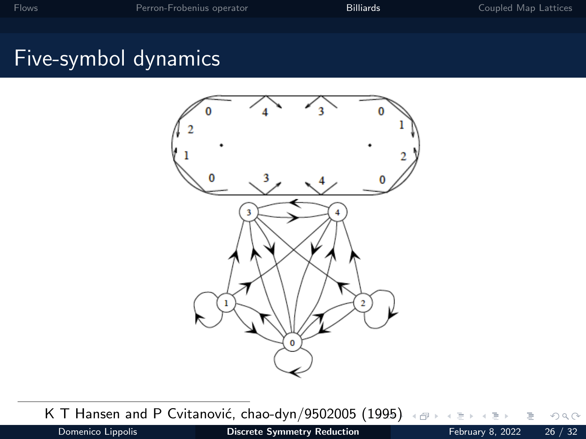# Five-symbol dynamics



K T Hansen and P Cvitanović, chao-dyn/9502005 ([199](#page-56-0)[5\)](#page-58-0)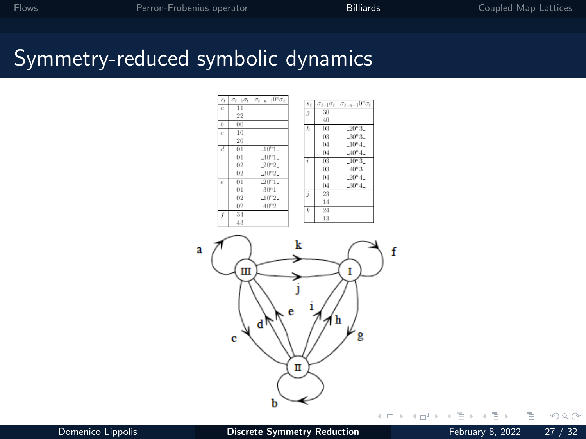#### <span id="page-58-0"></span>Symmetry-reduced symbolic dynamics





 $\leftarrow$   $\Box$   $\rightarrow$ 

4  $\vert \cdot \vert$  Þ

Ξ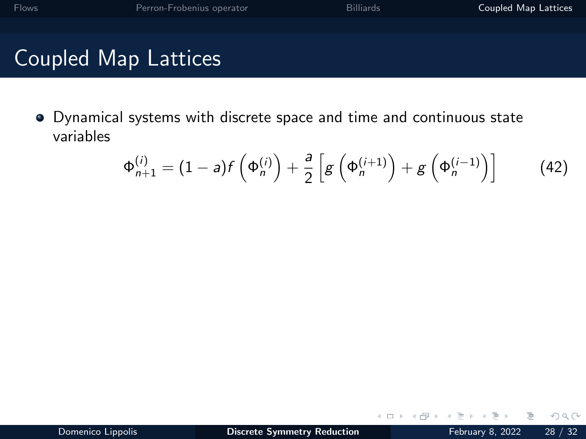<span id="page-59-0"></span>Dynamical systems with discrete space and time and continuous state variables

$$
\Phi_{n+1}^{(i)} = (1-a)f\left(\Phi_n^{(i)}\right) + \frac{a}{2}\left[g\left(\Phi_n^{(i+1)}\right) + g\left(\Phi_n^{(i-1)}\right)\right]
$$
(42)

 $\leftarrow$ 

 $QQQ$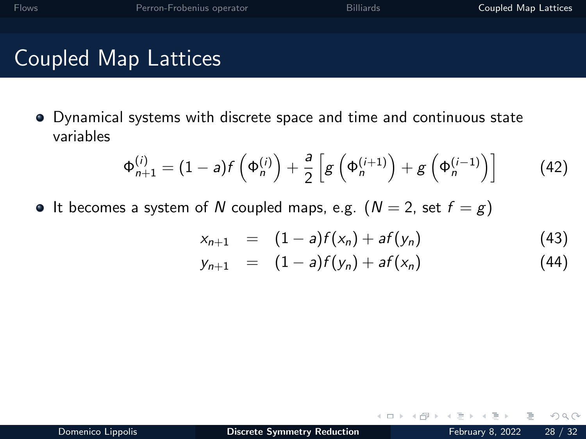Dynamical systems with discrete space and time and continuous state variables

$$
\Phi_{n+1}^{(i)} = (1-a)f\left(\Phi_n^{(i)}\right) + \frac{a}{2}\left[g\left(\Phi_n^{(i+1)}\right) + g\left(\Phi_n^{(i-1)}\right)\right]
$$
(42)

• It becomes a system of N coupled maps, e.g.  $(N = 2, \text{ set } f = g)$ 

$$
x_{n+1} = (1-a)f(x_n) + af(y_n)
$$
 (43)

$$
y_{n+1} = (1-a)f(y_n) + af(x_n)
$$
 (44)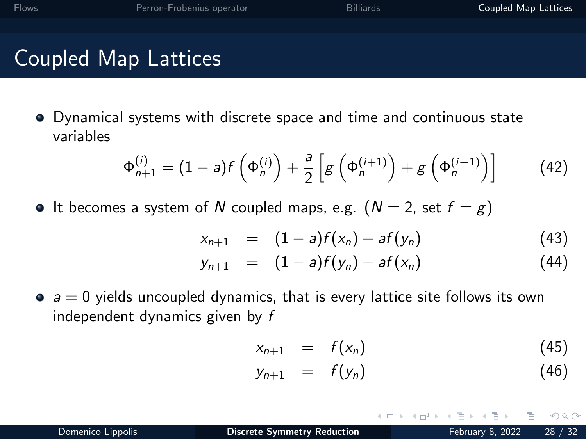Dynamical systems with discrete space and time and continuous state variables

$$
\Phi_{n+1}^{(i)} = (1-a)f\left(\Phi_n^{(i)}\right) + \frac{a}{2}\left[g\left(\Phi_n^{(i+1)}\right) + g\left(\Phi_n^{(i-1)}\right)\right]
$$
(42)

• It becomes a system of N coupled maps, e.g.  $(N = 2, \text{ set } f = g)$ 

$$
x_{n+1} = (1-a)f(x_n) + af(y_n)
$$
 (43)

$$
y_{n+1} = (1-a)f(y_n) + af(x_n)
$$
 (44)

 $\bullet$   $a = 0$  yields uncoupled dynamics, that is every lattice site follows its own independent dynamics given by f

$$
x_{n+1} = f(x_n) \tag{45}
$$

$$
y_{n+1} = f(y_n) \tag{46}
$$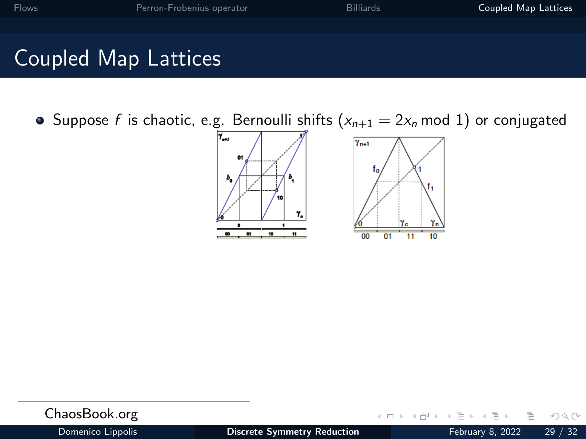• Suppose f is chaotic, e.g. Bernoulli shifts  $(x_{n+1} = 2x_n \mod 1)$  or conjugated



| ChaosBook.org     |                                    |  | - イロト イ母 ト イヨ ト イヨ ト ニヨー りんぺ |  |
|-------------------|------------------------------------|--|------------------------------|--|
| Domenico Lippolis | <b>Discrete Symmetry Reduction</b> |  | February 8, 2022 29 / 32     |  |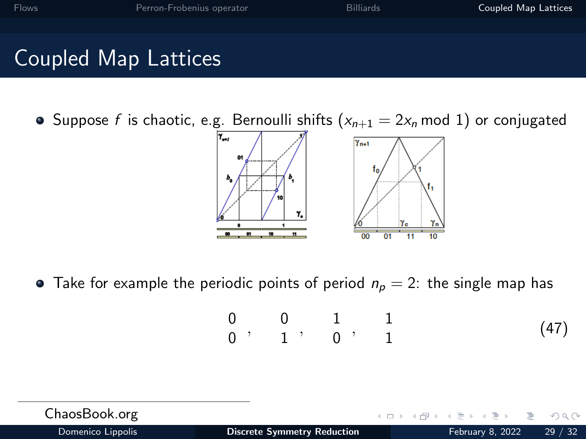• Suppose f is chaotic, e.g. Bernoulli shifts ( $x_{n+1} = 2x_n \mod 1$ ) or conjugated



• Take for example the periodic points of period  $n_p = 2$ : the single map has

$$
\begin{array}{ccccccccc}\n0 & 0 & 1 & 1 \\
0 & 1 & 0 & 1\n\end{array}
$$
\n(47)

| ChaosBook.org     |                                    | イロト イ母 トイヨト イヨト ニヨー つなべ |       |
|-------------------|------------------------------------|-------------------------|-------|
| Domenico Lippolis | <b>Discrete Symmetry Reduction</b> | February 8, 2022        | 29/32 |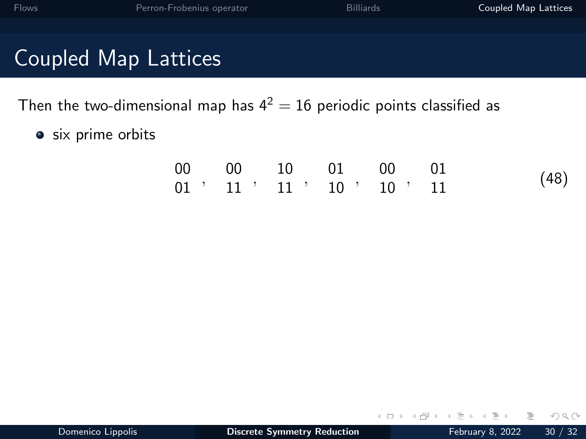Then the two-dimensional map has  $4^2 = 16$  periodic points classified as

• six prime orbits

|  | 00 00 10 01 00 01                       |  |      |
|--|-----------------------------------------|--|------|
|  | $01$ , $11$ , $11$ , $10$ , $10$ , $11$ |  | (48) |

 $\leftarrow$ 

 $QQQ$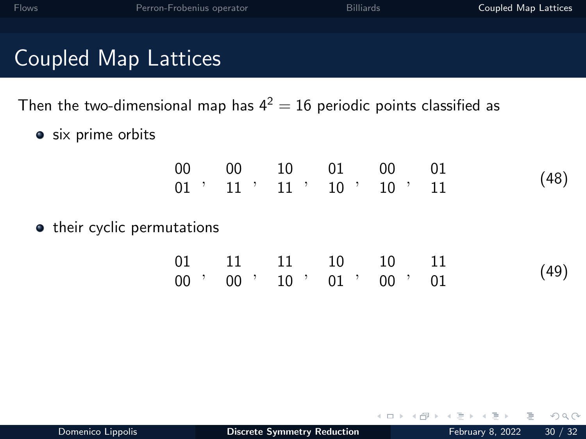| <b>Flows</b>         | Perron-Frobenius operator                                                 | <b>Billiards</b> | Coupled Map Lattices |
|----------------------|---------------------------------------------------------------------------|------------------|----------------------|
|                      |                                                                           |                  |                      |
| Coupled Map Lattices |                                                                           |                  |                      |
|                      | Then the two-dimensional map has $4^2 = 16$ periodic points classified as |                  |                      |

• six prime orbits

|  |  | 00 00 10 01 00 01                       |      |
|--|--|-----------------------------------------|------|
|  |  | $01$ , $11$ , $11$ , $10$ , $10$ , $11$ | (48) |

• their cyclic permutations

|  | 01 11 11 10 10 11                       |  |      |
|--|-----------------------------------------|--|------|
|  | $00$ , $00$ , $10$ , $01$ , $00$ , $01$ |  | (49) |

 $\leftarrow$ 

Þ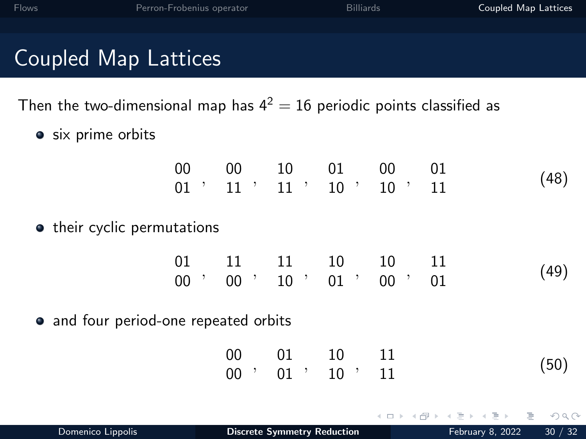| <b>Flows</b>                                                              | Perron-Frobenius operator             |        |                                                                                                     | Billiards     |    | Coupled Map Lattices |
|---------------------------------------------------------------------------|---------------------------------------|--------|-----------------------------------------------------------------------------------------------------|---------------|----|----------------------|
|                                                                           |                                       |        |                                                                                                     |               |    |                      |
| <b>Coupled Map Lattices</b>                                               |                                       |        |                                                                                                     |               |    |                      |
| Then the two-dimensional map has $4^2 = 16$ periodic points classified as |                                       |        |                                                                                                     |               |    |                      |
| • six prime orbits                                                        |                                       |        |                                                                                                     |               |    |                      |
|                                                                           |                                       |        | $\begin{array}{cccccc} 00 & 00 & 10 & 01 & 00 & 01 \\ 01 & 11 & 11 & 10 & 10 & 10 & 11 \end{array}$ |               |    | (48)                 |
|                                                                           | • their cyclic permutations           |        |                                                                                                     |               |    |                      |
|                                                                           |                                       |        |                                                                                                     |               |    | (49)                 |
|                                                                           | • and four period-one repeated orbits |        |                                                                                                     |               |    |                      |
|                                                                           |                                       | $00$ ' | 00   01   10   11                                                                                   | $01$ ' $10$ ' | 11 | (50)                 |

イロト イ部 トイヨト イヨト

 $\equiv$  990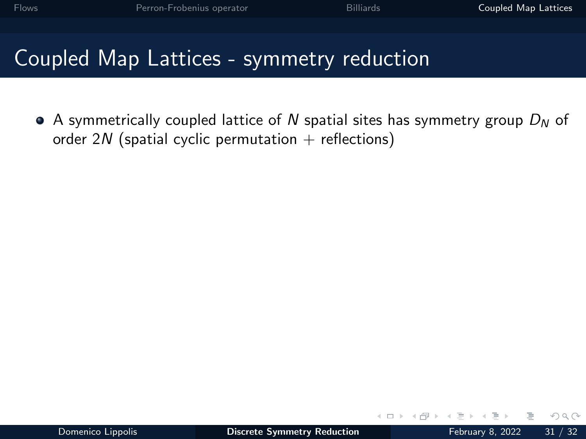$\bullet$  A symmetrically coupled lattice of N spatial sites has symmetry group  $D<sub>N</sub>$  of order 2N (spatial cyclic permutation  $+$  reflections)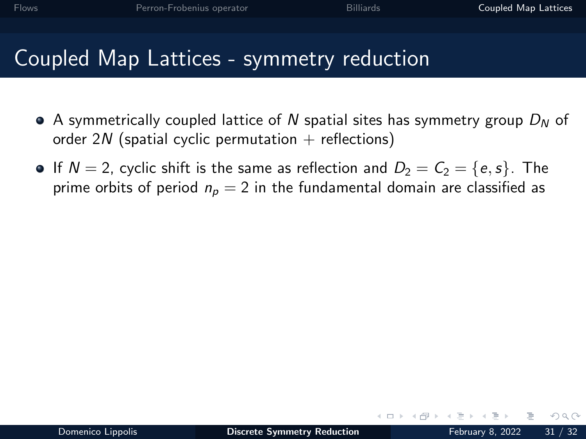- $\bullet$  A symmetrically coupled lattice of N spatial sites has symmetry group  $D<sub>N</sub>$  of order 2N (spatial cyclic permutation  $+$  reflections)
- **If**  $N = 2$ , cyclic shift is the same as reflection and  $D_2 = C_2 = \{e, s\}$ . The prime orbits of period  $n_p = 2$  in the fundamental domain are classified as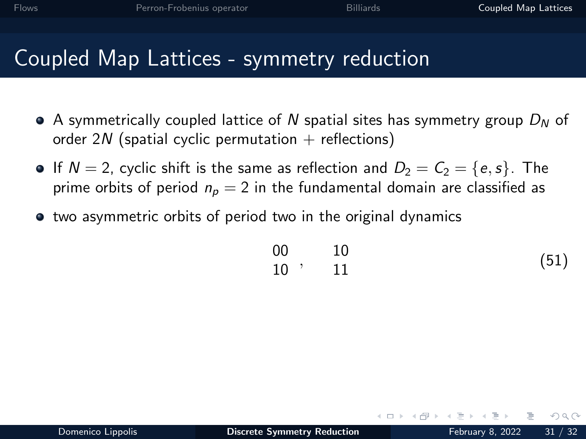- $\bullet$  A symmetrically coupled lattice of N spatial sites has symmetry group  $D<sub>N</sub>$  of order 2N (spatial cyclic permutation  $+$  reflections)
- If  $N = 2$ , cyclic shift is the same as reflection and  $D_2 = C_2 = \{e, s\}$ . The prime orbits of period  $n_p = 2$  in the fundamental domain are classified as
- two asymmetric orbits of period two in the original dynamics

$$
\begin{array}{ccccc}\n00 & & 10 \\
10 & & 11\n\end{array}
$$
\n(51)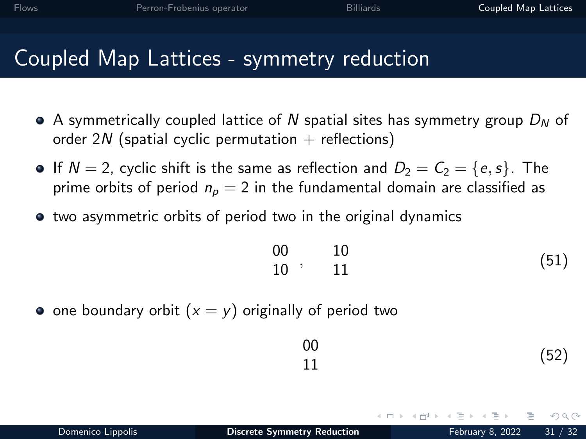- $\bullet$  A symmetrically coupled lattice of N spatial sites has symmetry group  $D<sub>N</sub>$  of order 2N (spatial cyclic permutation  $+$  reflections)
- **If**  $N = 2$ , cyclic shift is the same as reflection and  $D_2 = C_2 = \{e, s\}$ . The prime orbits of period  $n_p = 2$  in the fundamental domain are classified as
- $\bullet$  two asymmetric orbits of period two in the original dynamics

$$
\begin{array}{ccccc}\n00 & & 10 \\
10 & & 11\n\end{array}
$$
\n(51)

• one boundary orbit  $(x = y)$  originally of period two

$$
\begin{array}{c}\n00 \\
11\n\end{array} \tag{52}
$$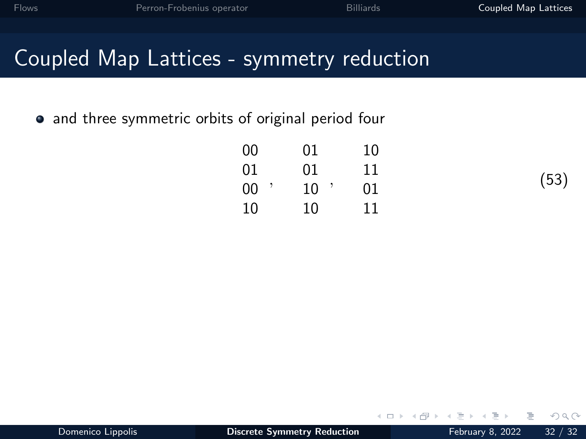• and three symmetric orbits of original period four

| 00 | 01 | 10 |
|----|----|----|
| 01 | 01 | 11 |
| 00 | 10 | 01 |
| 10 | 10 | 11 |

(53)

 $\Box$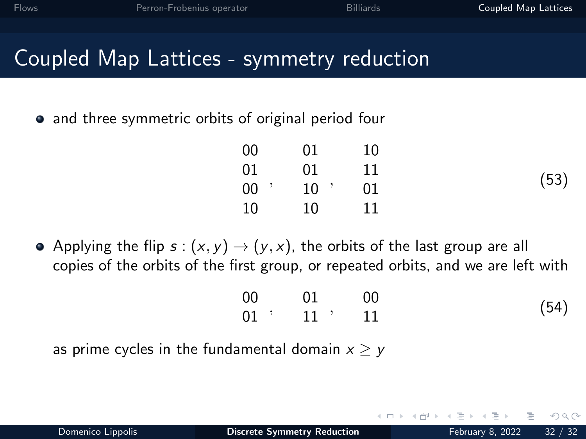## Coupled Map Lattices - symmetry reduction

• and three symmetric orbits of original period four

| 00     | 01     | 10 |      |
|--------|--------|----|------|
| 01     | 01     | 11 |      |
| $00$ ' | $10$ ' | 01 | (53) |
| 10     | 10     | 11 |      |
|        |        |    |      |

• Applying the flip  $s:(x, y) \rightarrow (y, x)$ , the orbits of the last group are all copies of the orbits of the first group, or repeated orbits, and we are left with

| $00\,$<br>$\overline{01}$ | $\sim$ 00          |      |
|---------------------------|--------------------|------|
|                           | $01$ , $11$ , $11$ | (54) |

as prime cycles in the fundamental domain  $x > y$ 

 $\Omega$